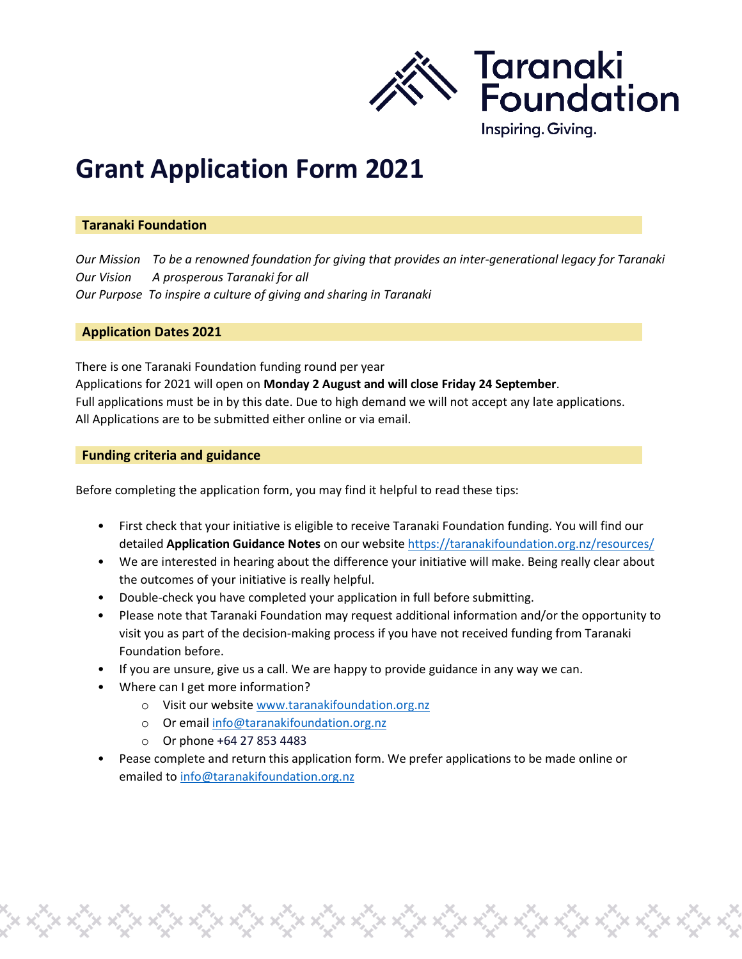

## **Grant Application Form 2021**

#### **Taranaki Foundation**

*Our Mission To be a renowned foundation for giving that provides an inter-generational legacy for Taranaki Our Vision A prosperous Taranaki for all Our Purpose To inspire a culture of giving and sharing in Taranaki*

#### **Application Dates 2021**

There is one Taranaki Foundation funding round per year Applications for 2021 will open on **Monday 2 August and will close Friday 24 September**. Full applications must be in by this date. Due to high demand we will not accept any late applications. All Applications are to be submitted either online or via email.

#### **Funding criteria and guidance**

Before completing the application form, you may find it helpful to read these tips:

- First check that your initiative is eligible to receive Taranaki Foundation funding. You will find our detailed **Application Guidance Notes** on our websit[e https://taranakifoundation.org.nz/resources/](https://taranakifoundation.org.nz/resources/)
- We are interested in hearing about the difference your initiative will make. Being really clear about the outcomes of your initiative is really helpful.
- Double-check you have completed your application in full before submitting.
- Please note that Taranaki Foundation may request additional information and/or the opportunity to visit you as part of the decision-making process if you have not received funding from Taranaki Foundation before.
- If you are unsure, give us a call. We are happy to provide guidance in any way we can.
- Where can I get more information?
	- o Visit our websit[e www.taranakifoundation.org.nz](http://www.taranakifoundation.org.nz/)
	- o Or email [info@taranakifoundation.org.nz](mailto:info@taranakifoundation.org.nz)
	- o Or phone +64 27 853 4483
- Pease complete and return this application form. We prefer applications to be made online or emailed t[o info@taranakifoundation.org.nz](mailto:info@taranakifoundation.org.nz)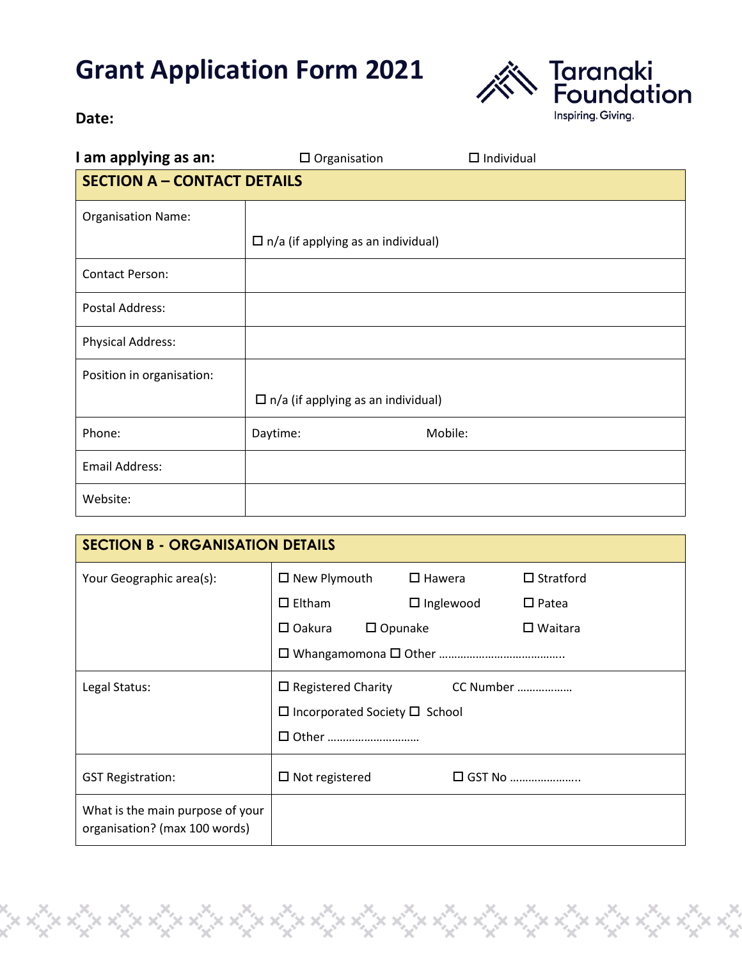# **Grant Application Form 2021**



### **Date:**

| I am applying as an:               | $\Box$ Organisation                       | $\Box$ Individual |  |  |
|------------------------------------|-------------------------------------------|-------------------|--|--|
| <b>SECTION A - CONTACT DETAILS</b> |                                           |                   |  |  |
| <b>Organisation Name:</b>          |                                           |                   |  |  |
|                                    | $\Box$ n/a (if applying as an individual) |                   |  |  |
| <b>Contact Person:</b>             |                                           |                   |  |  |
| <b>Postal Address:</b>             |                                           |                   |  |  |
| <b>Physical Address:</b>           |                                           |                   |  |  |
| Position in organisation:          |                                           |                   |  |  |
|                                    | $\Box$ n/a (if applying as an individual) |                   |  |  |
| Phone:                             | Daytime:                                  | Mobile:           |  |  |
| <b>Email Address:</b>              |                                           |                   |  |  |
| Website:                           |                                           |                   |  |  |

| <b>SECTION B - ORGANISATION DETAILS</b>                           |                                           |                  |                   |  |  |
|-------------------------------------------------------------------|-------------------------------------------|------------------|-------------------|--|--|
| Your Geographic area(s):                                          | $\square$ New Plymouth                    | $\square$ Hawera | $\Box$ Stratford  |  |  |
|                                                                   | $\square$ Eltham                          | $\Box$ Inglewood | $\Box$ Patea      |  |  |
|                                                                   | $\square$ Oakura<br>$\Box$ Opunake        |                  | $\square$ Waitara |  |  |
|                                                                   |                                           |                  |                   |  |  |
| Legal Status:                                                     | $\Box$ Registered Charity<br>CC Number    |                  |                   |  |  |
|                                                                   | $\Box$ Incorporated Society $\Box$ School |                  |                   |  |  |
|                                                                   |                                           |                  |                   |  |  |
| <b>GST Registration:</b>                                          | $\Box$ Not registered                     |                  | $\Box$ GST No     |  |  |
| What is the main purpose of your<br>organisation? (max 100 words) |                                           |                  |                   |  |  |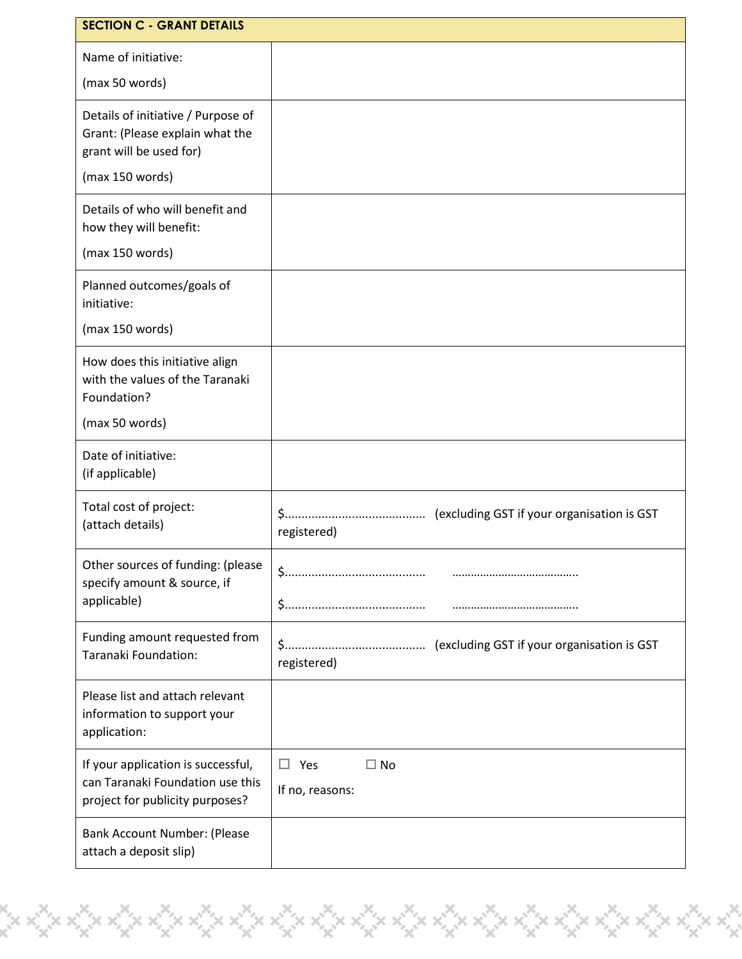| <b>SECTION C - GRANT DETAILS</b>                                                                          |                                                  |  |
|-----------------------------------------------------------------------------------------------------------|--------------------------------------------------|--|
| Name of initiative:                                                                                       |                                                  |  |
| (max 50 words)                                                                                            |                                                  |  |
| Details of initiative / Purpose of<br>Grant: (Please explain what the<br>grant will be used for)          |                                                  |  |
| (max 150 words)                                                                                           |                                                  |  |
| Details of who will benefit and<br>how they will benefit:                                                 |                                                  |  |
| (max 150 words)                                                                                           |                                                  |  |
| Planned outcomes/goals of<br>initiative:                                                                  |                                                  |  |
| (max 150 words)                                                                                           |                                                  |  |
| How does this initiative align<br>with the values of the Taranaki<br>Foundation?                          |                                                  |  |
| (max 50 words)                                                                                            |                                                  |  |
| Date of initiative:<br>(if applicable)                                                                    |                                                  |  |
| Total cost of project:<br>(attach details)                                                                | registered)                                      |  |
| Other sources of funding: (please<br>specify amount & source, if<br>applicable)                           |                                                  |  |
| Funding amount requested from<br>Taranaki Foundation:                                                     | registered)                                      |  |
| Please list and attach relevant<br>information to support your<br>application:                            |                                                  |  |
| If your application is successful,<br>can Taranaki Foundation use this<br>project for publicity purposes? | $\square$ No<br>$\square$ Yes<br>If no, reasons: |  |
| Bank Account Number: (Please<br>attach a deposit slip)                                                    |                                                  |  |